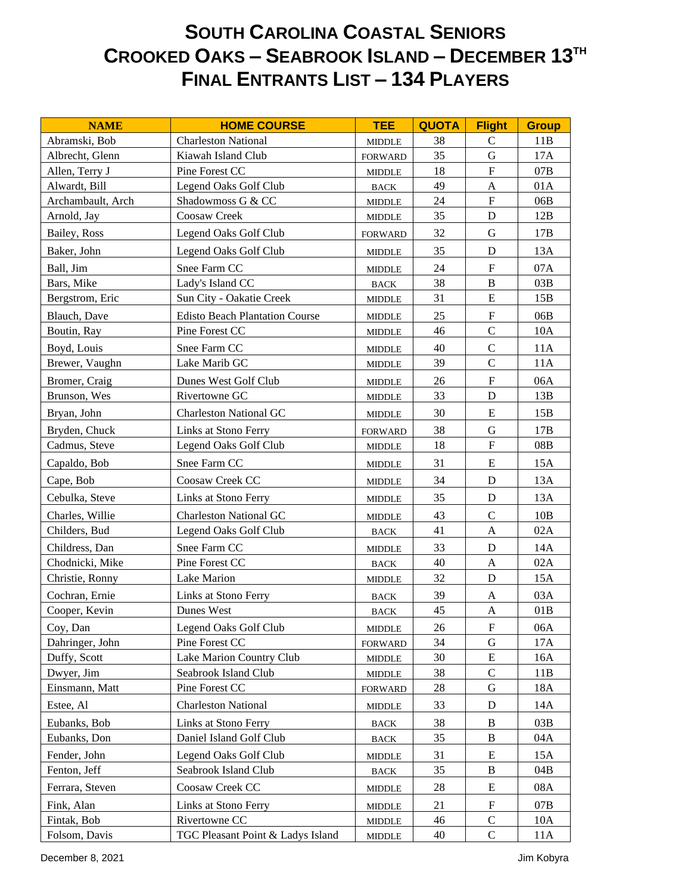## **SOUTH CAROLINA COASTAL SENIORS CROOKED OAKS – SEABROOK ISLAND – DECEMBER 13TH FINAL ENTRANTS LIST – 134 PLAYERS**

| <b>NAME</b>       | <b>HOME COURSE</b>                    | <b>TEE</b>                      | <b>QUOTA</b> | <b>Flight</b>             | <b>Group</b> |
|-------------------|---------------------------------------|---------------------------------|--------------|---------------------------|--------------|
| Abramski, Bob     | <b>Charleston National</b>            | <b>MIDDLE</b>                   | 38           | $\mathbf C$               | 11B          |
| Albrecht, Glenn   | Kiawah Island Club                    | <b>FORWARD</b>                  | 35           | $\mathbf G$               | 17A          |
| Allen, Terry J    | Pine Forest CC                        | $\ensuremath{\mathsf{MIDDLE}}$  | 18           | ${\bf F}$                 | 07B          |
| Alwardt, Bill     | Legend Oaks Golf Club                 | <b>BACK</b>                     | 49           | $\mathbf{A}$              | 01A          |
| Archambault, Arch | Shadowmoss G & CC                     | <b>MIDDLE</b>                   | 24           | ${\bf F}$                 | 06B          |
| Arnold, Jay       | Coosaw Creek                          | <b>MIDDLE</b>                   | 35           | $\mathbf D$               | 12B          |
| Bailey, Ross      | Legend Oaks Golf Club                 | <b>FORWARD</b>                  | 32           | $\mathbf G$               | 17B          |
| Baker, John       | Legend Oaks Golf Club                 | <b>MIDDLE</b>                   | 35           | $\mathbf D$               | 13A          |
| Ball, Jim         | Snee Farm CC                          | <b>MIDDLE</b>                   | 24           | ${\bf F}$                 | 07A          |
| Bars, Mike        | Lady's Island CC                      | <b>BACK</b>                     | 38           | $\, {\bf B}$              | 03B          |
| Bergstrom, Eric   | Sun City - Oakatie Creek              | <b>MIDDLE</b>                   | 31           | ${\bf E}$                 | 15B          |
| Blauch, Dave      | <b>Edisto Beach Plantation Course</b> | <b>MIDDLE</b>                   | 25           | $\boldsymbol{\mathrm{F}}$ | 06B          |
| Boutin, Ray       | Pine Forest CC                        | <b>MIDDLE</b>                   | 46           | $\mathsf{C}$              | 10A          |
| Boyd, Louis       | Snee Farm CC                          | <b>MIDDLE</b>                   | 40           | $\mathbf C$               | 11A          |
| Brewer, Vaughn    | Lake Marib GC                         | <b>MIDDLE</b>                   | 39           | $\mathsf{C}$              | 11A          |
| Bromer, Craig     | Dunes West Golf Club                  | <b>MIDDLE</b>                   | 26           | ${\bf F}$                 | 06A          |
| Brunson, Wes      | Rivertowne GC                         | <b>MIDDLE</b>                   | 33           | $\mathbf D$               | 13B          |
| Bryan, John       | <b>Charleston National GC</b>         | <b>MIDDLE</b>                   | 30           | ${\bf E}$                 | 15B          |
| Bryden, Chuck     | Links at Stono Ferry                  | <b>FORWARD</b>                  | 38           | ${\bf G}$                 | 17B          |
| Cadmus, Steve     | Legend Oaks Golf Club                 | <b>MIDDLE</b>                   | 18           | ${\bf F}$                 | 08B          |
| Capaldo, Bob      | Snee Farm CC                          | <b>MIDDLE</b>                   | 31           | ${\bf E}$                 | 15A          |
| Cape, Bob         | Coosaw Creek CC                       | <b>MIDDLE</b>                   | 34           | $\mathbf D$               | 13A          |
| Cebulka, Steve    | Links at Stono Ferry                  | <b>MIDDLE</b>                   | 35           | $\mathbf D$               | 13A          |
| Charles, Willie   | <b>Charleston National GC</b>         | <b>MIDDLE</b>                   | 43           | $\mathcal{C}$             | 10B          |
| Childers, Bud     | Legend Oaks Golf Club                 | <b>BACK</b>                     | 41           | $\mathbf{A}$              | 02A          |
| Childress, Dan    | Snee Farm CC                          | <b>MIDDLE</b>                   | 33           | $\mathbf D$               | 14A          |
| Chodnicki, Mike   | Pine Forest CC                        | <b>BACK</b>                     | 40           | A                         | 02A          |
| Christie, Ronny   | Lake Marion                           | <b>MIDDLE</b>                   | 32           | D                         | 15A          |
| Cochran, Ernie    | Links at Stono Ferry                  | <b>BACK</b>                     | 39           | $\mathbf{A}$              | 03A          |
| Cooper, Kevin     | Dunes West                            | <b>BACK</b>                     | 45           | $\boldsymbol{A}$          | 01B          |
| Coy, Dan          | Legend Oaks Golf Club                 | <b>MIDDLE</b>                   | 26           | F                         | 06A          |
| Dahringer, John   | Pine Forest CC                        | <b>FORWARD</b>                  | 34           | $\mathbf G$               | 17A          |
| Duffy, Scott      | Lake Marion Country Club              | <b>MIDDLE</b>                   | 30           | ${\bf E}$                 | 16A          |
| Dwyer, Jim        | Seabrook Island Club                  | <b>MIDDLE</b>                   | 38           | $\mathsf C$               | 11B          |
| Einsmann, Matt    | Pine Forest CC                        | <b>FORWARD</b>                  | 28           | G                         | 18A          |
| Estee, Al         | <b>Charleston National</b>            | <b>MIDDLE</b>                   | 33           | D                         | 14A          |
| Eubanks, Bob      | Links at Stono Ferry                  | <b>BACK</b>                     | 38           | B                         | 03B          |
| Eubanks, Don      | Daniel Island Golf Club               | <b>BACK</b>                     | 35           | B                         | 04A          |
| Fender, John      | Legend Oaks Golf Club                 | <b>MIDDLE</b>                   | 31           | ${\bf E}$                 | 15A          |
| Fenton, Jeff      | Seabrook Island Club                  | $_{\mbox{\footnotesize{BACK}}}$ | 35           | B                         | 04B          |
| Ferrara, Steven   | Coosaw Creek CC                       | <b>MIDDLE</b>                   | 28           | ${\bf E}$                 | 08A          |
| Fink, Alan        | Links at Stono Ferry                  | <b>MIDDLE</b>                   | 21           | $\boldsymbol{\mathrm{F}}$ | 07B          |
| Fintak, Bob       | Rivertowne CC                         | $\ensuremath{\mathsf{MIDDLE}}$  | 46           | $\mathsf C$               | 10A          |
| Folsom, Davis     | TGC Pleasant Point & Ladys Island     | <b>MIDDLE</b>                   | 40           | $\mathbf C$               | 11A          |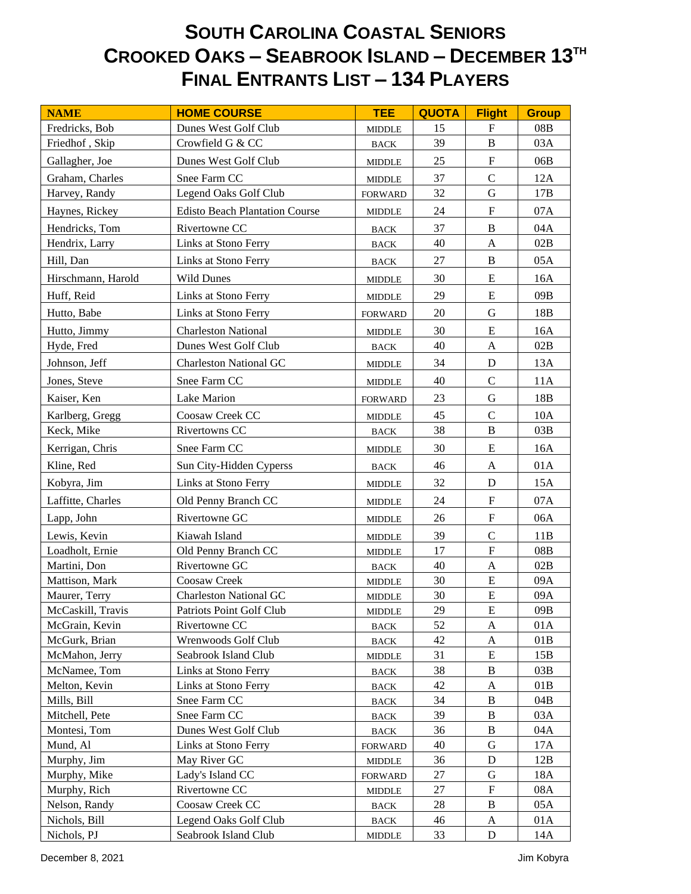## **SOUTH CAROLINA COASTAL SENIORS CROOKED OAKS – SEABROOK ISLAND – DECEMBER 13TH FINAL ENTRANTS LIST – 134 PLAYERS**

| <b>NAME</b>        | <b>HOME COURSE</b>                    | <b>TEE</b>                      | <b>QUOTA</b> | <b>Flight</b>             | <b>Group</b> |
|--------------------|---------------------------------------|---------------------------------|--------------|---------------------------|--------------|
| Fredricks, Bob     | Dunes West Golf Club                  | <b>MIDDLE</b>                   | 15           | $\mathbf F$               | 08B          |
| Friedhof, Skip     | Crowfield G & CC                      | <b>BACK</b>                     | 39           | $\bf{B}$                  | 03A          |
| Gallagher, Joe     | Dunes West Golf Club                  | <b>MIDDLE</b>                   | 25           | $\mathbf F$               | 06B          |
| Graham, Charles    | Snee Farm CC                          | <b>MIDDLE</b>                   | 37           | $\mathcal{C}$             | 12A          |
| Harvey, Randy      | Legend Oaks Golf Club                 | <b>FORWARD</b>                  | 32           | G                         | 17B          |
| Haynes, Rickey     | <b>Edisto Beach Plantation Course</b> | <b>MIDDLE</b>                   | 24           | ${\bf F}$                 | 07A          |
| Hendricks, Tom     | Rivertowne CC                         | <b>BACK</b>                     | 37           | $\bf{B}$                  | 04A          |
| Hendrix, Larry     | Links at Stono Ferry                  | <b>BACK</b>                     | 40           | $\mathbf{A}$              | 02B          |
| Hill, Dan          | Links at Stono Ferry                  | <b>BACK</b>                     | 27           | $\bf{B}$                  | 05A          |
| Hirschmann, Harold | <b>Wild Dunes</b>                     | <b>MIDDLE</b>                   | 30           | E                         | 16A          |
| Huff, Reid         | Links at Stono Ferry                  | <b>MIDDLE</b>                   | 29           | E                         | 09B          |
| Hutto, Babe        | Links at Stono Ferry                  | <b>FORWARD</b>                  | 20           | G                         | 18B          |
| Hutto, Jimmy       | <b>Charleston National</b>            | <b>MIDDLE</b>                   | 30           | E                         | 16A          |
| Hyde, Fred         | Dunes West Golf Club                  | BACK                            | 40           | $\mathbf{A}$              | 02B          |
| Johnson, Jeff      | <b>Charleston National GC</b>         | $\ensuremath{\mathsf{MIDDLE}}$  | 34           | D                         | 13A          |
| Jones, Steve       | Snee Farm CC                          | <b>MIDDLE</b>                   | 40           | $\mathcal{C}$             | 11A          |
| Kaiser, Ken        | Lake Marion                           | <b>FORWARD</b>                  | 23           | G                         | 18B          |
| Karlberg, Gregg    | Coosaw Creek CC                       | <b>MIDDLE</b>                   | 45           | $\mathcal{C}$             | 10A          |
| Keck, Mike         | Rivertowns CC                         | <b>BACK</b>                     | 38           | $\, {\bf B}$              | 03B          |
| Kerrigan, Chris    | Snee Farm CC                          | <b>MIDDLE</b>                   | 30           | E                         | 16A          |
| Kline, Red         | Sun City-Hidden Cyperss               | <b>BACK</b>                     | 46           | A                         | 01A          |
| Kobyra, Jim        | Links at Stono Ferry                  | <b>MIDDLE</b>                   | 32           | ${\bf D}$                 | 15A          |
| Laffitte, Charles  | Old Penny Branch CC                   | <b>MIDDLE</b>                   | 24           | $\mathbf F$               | 07A          |
| Lapp, John         | Rivertowne GC                         | <b>MIDDLE</b>                   | 26           | $\boldsymbol{\mathrm{F}}$ | 06A          |
| Lewis, Kevin       | Kiawah Island                         | <b>MIDDLE</b>                   | 39           | $\mathcal{C}$             | 11B          |
| Loadholt, Ernie    | Old Penny Branch CC                   | <b>MIDDLE</b>                   | 17           | $\mathbf{F}$              | 08B          |
| Martini, Don       | Rivertowne GC                         | <b>BACK</b>                     | 40           | $\mathbf A$               | 02B          |
| Mattison, Mark     | Coosaw Creek                          | <b>MIDDLE</b>                   | 30           | ${\bf E}$                 | 09A          |
| Maurer, Terry      | <b>Charleston National GC</b>         | <b>MIDDLE</b>                   | 30           | ${\bf E}$                 | 09A          |
| McCaskill, Travis  | Patriots Point Golf Club              | <b>MIDDLE</b>                   | 29           | ${\bf E}$                 | $09B$        |
| McGrain, Kevin     | Rivertowne CC                         | <b>BACK</b>                     | 52           | A                         | 01A          |
| McGurk, Brian      | Wrenwoods Golf Club                   | <b>BACK</b>                     | 42           | A                         | 01B          |
| McMahon, Jerry     | Seabrook Island Club                  | <b>MIDDLE</b>                   | 31           | E                         | 15B          |
| McNamee, Tom       | Links at Stono Ferry                  | <b>BACK</b>                     | 38           | $\bf{B}$                  | 03B          |
| Melton, Kevin      | Links at Stono Ferry                  | $_{\mbox{\footnotesize{BACK}}}$ | 42           | A                         | 01B          |
| Mills, Bill        | Snee Farm CC                          | <b>BACK</b>                     | 34           | B                         | 04B          |
| Mitchell, Pete     | Snee Farm CC                          | <b>BACK</b>                     | 39           | B                         | 03A          |
| Montesi, Tom       | Dunes West Golf Club                  | <b>BACK</b>                     | 36           | $\, {\bf B}$              | 04A          |
| Mund, Al           | Links at Stono Ferry                  | <b>FORWARD</b>                  | 40           | $\mathbf G$               | 17A          |
| Murphy, Jim        | May River GC                          | $\ensuremath{\mathsf{MIDDLE}}$  | 36           | $\mathbf D$               | 12B          |
| Murphy, Mike       | Lady's Island CC                      | <b>FORWARD</b>                  | 27           | G                         | 18A          |
| Murphy, Rich       | Rivertowne CC                         | <b>MIDDLE</b>                   | 27           | $\boldsymbol{\mathrm{F}}$ | 08A          |
| Nelson, Randy      | Coosaw Creek CC                       | <b>BACK</b>                     | 28           | $\, {\bf B}$              | 05A          |
| Nichols, Bill      | Legend Oaks Golf Club                 | <b>BACK</b>                     | 46           | A                         | 01A          |
| Nichols, PJ        | Seabrook Island Club                  | <b>MIDDLE</b>                   | 33           | ${\bf D}$                 | 14A          |